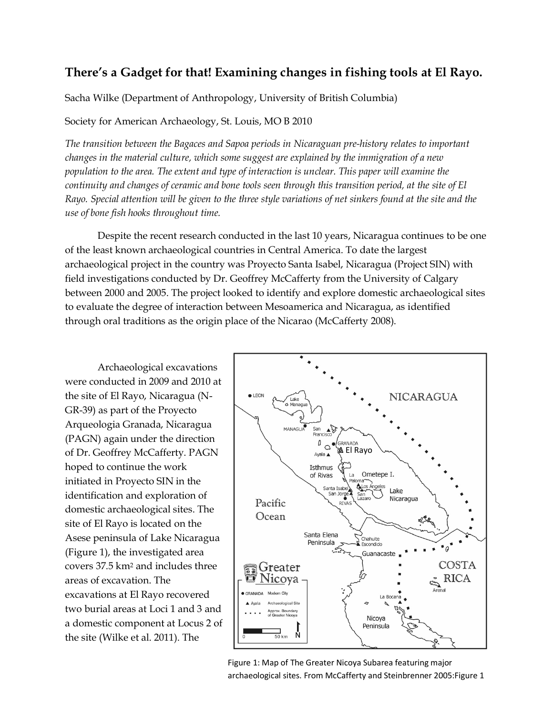# **There's a Gadget for that! Examining changes in fishing tools at El Rayo.**

Sacha Wilke (Department of Anthropology, University of British Columbia)

## Society for American Archaeology, St. Louis, MO B 2010

*The transition between the Bagaces and Sapoa periods in Nicaraguan pre-history relates to important changes in the material culture, which some suggest are explained by the immigration of a new population to the area. The extent and type of interaction is unclear. This paper will examine the continuity and changes of ceramic and bone tools seen through this transition period, at the site of El Rayo. Special attention will be given to the three style variations of net sinkers found at the site and the use of bone fish hooks throughout time.*

Despite the recent research conducted in the last 10 years, Nicaragua continues to be one of the least known archaeological countries in Central America. To date the largest archaeological project in the country was Proyecto Santa Isabel, Nicaragua (Project SIN) with field investigations conducted by Dr. Geoffrey McCafferty from the University of Calgary between 2000 and 2005. The project looked to identify and explore domestic archaeological sites to evaluate the degree of interaction between Mesoamerica and Nicaragua, as identified through oral traditions as the origin place of the Nicarao (McCafferty 2008).

Archaeological excavations were conducted in 2009 and 2010 at the site of El Rayo, Nicaragua (N-GR-39) as part of the Proyecto Arqueologia Granada, Nicaragua (PAGN) again under the direction of Dr. Geoffrey McCafferty. PAGN hoped to continue the work initiated in Proyecto SIN in the identification and exploration of domestic archaeological sites. The site of El Rayo is located on the Asese peninsula of Lake Nicaragua (Figure 1), the investigated area covers 37.5 km<sup>2</sup> and includes three areas of excavation. The excavations at El Rayo recovered two burial areas at Loci 1 and 3 and a domestic component at Locus 2 of the site (Wilke et al. 2011). The



Figure 1: Map of The Greater Nicoya Subarea featuring major archaeological sites. From McCafferty and Steinbrenner 2005:Figure 1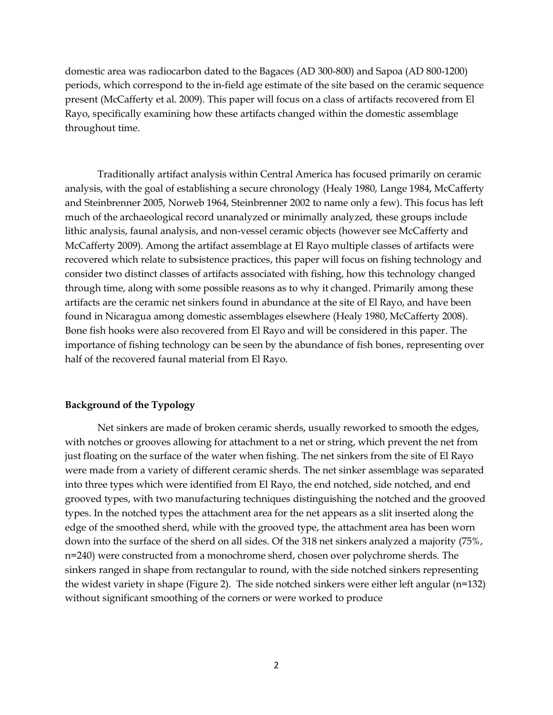domestic area was radiocarbon dated to the Bagaces (AD 300-800) and Sapoa (AD 800-1200) periods, which correspond to the in-field age estimate of the site based on the ceramic sequence present (McCafferty et al. 2009). This paper will focus on a class of artifacts recovered from El Rayo, specifically examining how these artifacts changed within the domestic assemblage throughout time.

Traditionally artifact analysis within Central America has focused primarily on ceramic analysis, with the goal of establishing a secure chronology (Healy 1980, Lange 1984, McCafferty and Steinbrenner 2005, Norweb 1964, Steinbrenner 2002 to name only a few). This focus has left much of the archaeological record unanalyzed or minimally analyzed, these groups include lithic analysis, faunal analysis, and non-vessel ceramic objects (however see McCafferty and McCafferty 2009). Among the artifact assemblage at El Rayo multiple classes of artifacts were recovered which relate to subsistence practices, this paper will focus on fishing technology and consider two distinct classes of artifacts associated with fishing, how this technology changed through time, along with some possible reasons as to why it changed. Primarily among these artifacts are the ceramic net sinkers found in abundance at the site of El Rayo, and have been found in Nicaragua among domestic assemblages elsewhere (Healy 1980, McCafferty 2008). Bone fish hooks were also recovered from El Rayo and will be considered in this paper. The importance of fishing technology can be seen by the abundance of fish bones, representing over half of the recovered faunal material from El Rayo.

#### **Background of the Typology**

Net sinkers are made of broken ceramic sherds, usually reworked to smooth the edges, with notches or grooves allowing for attachment to a net or string, which prevent the net from just floating on the surface of the water when fishing. The net sinkers from the site of El Rayo were made from a variety of different ceramic sherds. The net sinker assemblage was separated into three types which were identified from El Rayo, the end notched, side notched, and end grooved types, with two manufacturing techniques distinguishing the notched and the grooved types. In the notched types the attachment area for the net appears as a slit inserted along the edge of the smoothed sherd, while with the grooved type, the attachment area has been worn down into the surface of the sherd on all sides. Of the 318 net sinkers analyzed a majority (75%, n=240) were constructed from a monochrome sherd, chosen over polychrome sherds. The sinkers ranged in shape from rectangular to round, with the side notched sinkers representing the widest variety in shape (Figure 2). The side notched sinkers were either left angular (n=132) without significant smoothing of the corners or were worked to produce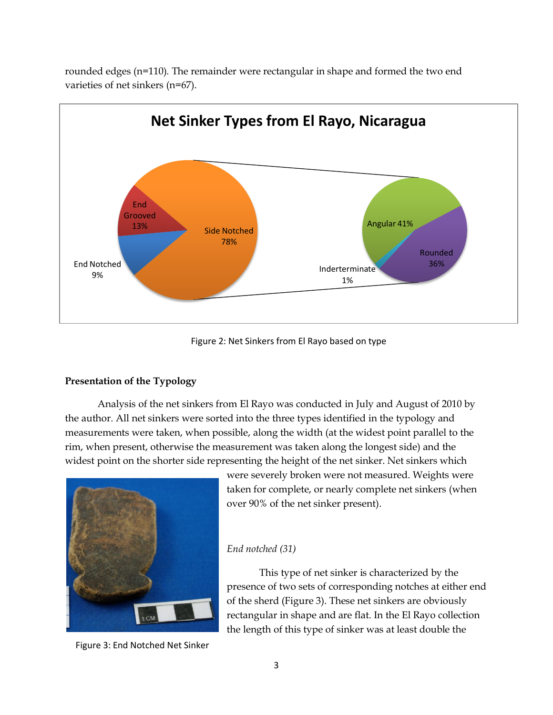

rounded edges (n=110). The remainder were rectangular in shape and formed the two end varieties of net sinkers (n=67).

Figure 2: Net Sinkers from El Rayo based on type

## **Presentation of the Typology**

Analysis of the net sinkers from El Rayo was conducted in July and August of 2010 by the author. All net sinkers were sorted into the three types identified in the typology and measurements were taken, when possible, along the width (at the widest point parallel to the rim, when present, otherwise the measurement was taken along the longest side) and the widest point on the shorter side representing the height of the net sinker. Net sinkers which



were severely broken were not measured. Weights were taken for complete, or nearly complete net sinkers (when over 90% of the net sinker present).

### *End notched (31)*

This type of net sinker is characterized by the presence of two sets of corresponding notches at either end of the sherd (Figure 3). These net sinkers are obviously rectangular in shape and are flat. In the El Rayo collection the length of this type of sinker was at least double the

Figure 3: End Notched Net Sinker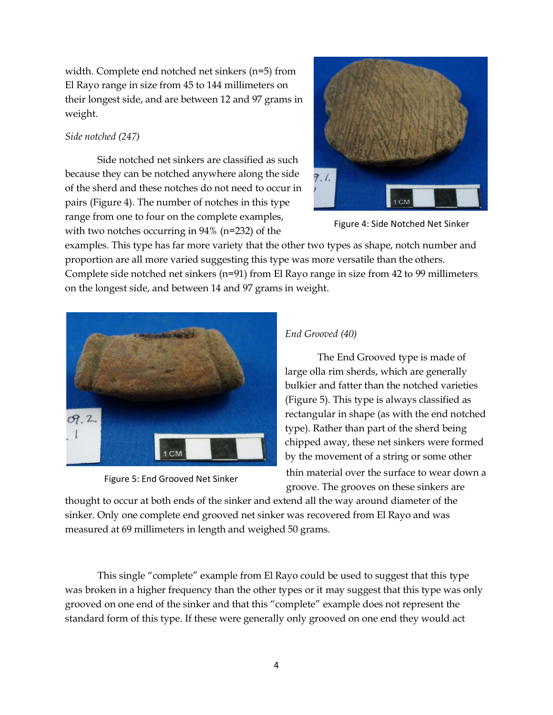width. Complete end notched net sinkers (n=5) from El Rayo range in size from 45 to 144 millimeters on their longest side, and are between 12 and 97 grams in weight.

## *Side notched (247)*

Side notched net sinkers are classified as such because they can be notched anywhere along the side of the sherd and these notches do not need to occur in pairs (Figure 4). The number of notches in this type range from one to four on the complete examples, with two notches occurring in 94% (n=232) of the



Figure 4: Side Notched Net Sinker

examples. This type has far more variety that the other two types as shape, notch number and proportion are all more varied suggesting this type was more versatile than the others. Complete side notched net sinkers (n=91) from El Rayo range in size from 42 to 99 millimeters on the longest side, and between 14 and 97 grams in weight.



Figure 5: End Grooved Net Sinker

# *End Grooved (40)*

The End Grooved type is made of large olla rim sherds, which are generally bulkier and fatter than the notched varieties (Figure 5). This type is always classified as rectangular in shape (as with the end notched type). Rather than part of the sherd being chipped away, these net sinkers were formed by the movement of a string or some other thin material over the surface to wear down a groove. The grooves on these sinkers are

thought to occur at both ends of the sinker and extend all the way around diameter of the sinker. Only one complete end grooved net sinker was recovered from El Rayo and was measured at 69 millimeters in length and weighed 50 grams.

This single "complete" example from El Rayo could be used to suggest that this type was broken in a higher frequency than the other types or it may suggest that this type was only grooved on one end of the sinker and that this "complete" example does not represent the standard form of this type. If these were generally only grooved on one end they would act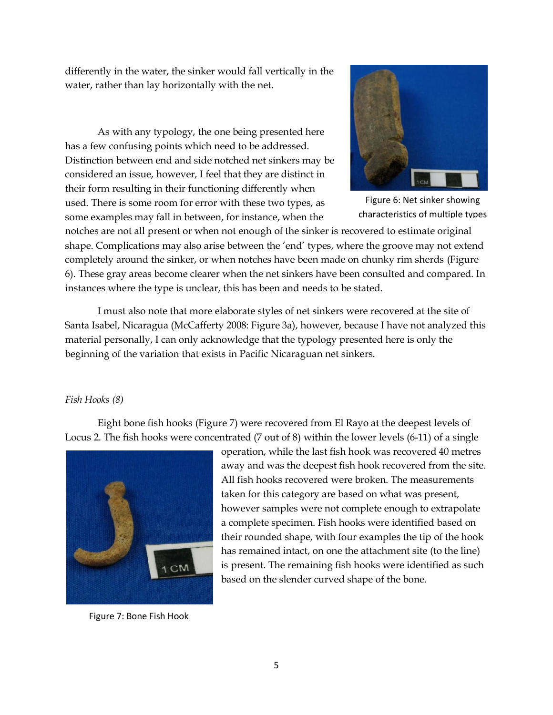differently in the water, the sinker would fall vertically in the water, rather than lay horizontally with the net.

As with any typology, the one being presented here has a few confusing points which need to be addressed. Distinction between end and side notched net sinkers may be considered an issue, however, I feel that they are distinct in their form resulting in their functioning differently when used. There is some room for error with these two types, as some examples may fall in between, for instance, when the



Figure 6: Net sinker showing characteristics of multiple types

notches are not all present or when not enough of the sinker is recovered to estimate original shape. Complications may also arise between the 'end' types, where the groove may not extend completely around the sinker, or when notches have been made on chunky rim sherds (Figure 6). These gray areas become clearer when the net sinkers have been consulted and compared. In instances where the type is unclear, this has been and needs to be stated.

I must also note that more elaborate styles of net sinkers were recovered at the site of Santa Isabel, Nicaragua (McCafferty 2008: Figure 3a), however, because I have not analyzed this material personally, I can only acknowledge that the typology presented here is only the beginning of the variation that exists in Pacific Nicaraguan net sinkers.

### *Fish Hooks (8)*

Eight bone fish hooks (Figure 7) were recovered from El Rayo at the deepest levels of Locus 2. The fish hooks were concentrated (7 out of 8) within the lower levels (6-11) of a single



Figure 7: Bone Fish Hook

operation, while the last fish hook was recovered 40 metres away and was the deepest fish hook recovered from the site. All fish hooks recovered were broken. The measurements taken for this category are based on what was present, however samples were not complete enough to extrapolate a complete specimen. Fish hooks were identified based on their rounded shape, with four examples the tip of the hook has remained intact, on one the attachment site (to the line) is present. The remaining fish hooks were identified as such based on the slender curved shape of the bone.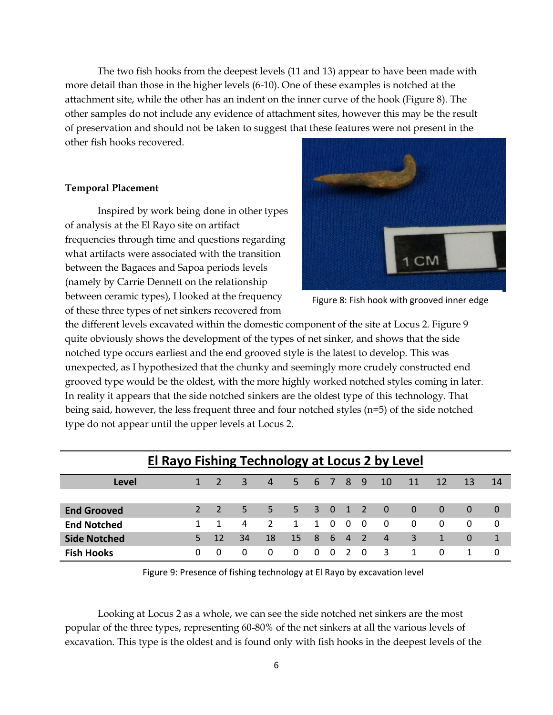The two fish hooks from the deepest levels (11 and 13) appear to have been made with more detail than those in the higher levels (6-10). One of these examples is notched at the attachment site, while the other has an indent on the inner curve of the hook (Figure 8). The other samples do not include any evidence of attachment sites, however this may be the result of preservation and should not be taken to suggest that these features were not present in the other fish hooks recovered.

#### **Temporal Placement**

Inspired by work being done in other types of analysis at the El Rayo site on artifact frequencies through time and questions regarding what artifacts were associated with the transition between the Bagaces and Sapoa periods levels (namely by Carrie Dennett on the relationship between ceramic types), I looked at the frequency of these three types of net sinkers recovered from



Figure 8: Fish hook with grooved inner edge

the different levels excavated within the domestic component of the site at Locus 2. Figure 9 quite obviously shows the development of the types of net sinker, and shows that the side notched type occurs earliest and the end grooved style is the latest to develop. This was unexpected, as I hypothesized that the chunky and seemingly more crudely constructed end grooved type would be the oldest, with the more highly worked notched styles coming in later. In reality it appears that the side notched sinkers are the oldest type of this technology. That being said, however, the less frequent three and four notched styles (n=5) of the side notched type do not appear until the upper levels at Locus 2.

| El Rayo Fishing Technology at Locus 2 by Level |               |          |    |               |                 |              |          |                |            |                |          |              |          |                |
|------------------------------------------------|---------------|----------|----|---------------|-----------------|--------------|----------|----------------|------------|----------------|----------|--------------|----------|----------------|
| Level                                          |               |          | 3  | 4             | .5.             |              |          | 6 7 8 9        |            | 10             | 11       | 12           | 13       | -14            |
|                                                |               |          |    |               |                 |              |          |                |            |                |          |              |          |                |
| <b>End Grooved</b>                             | $\mathcal{L}$ |          | 5. | 5.            | $5 -$           |              |          | 3 0 1 2        |            | $\overline{0}$ | $\Omega$ | $\Omega$     | $\Omega$ | $\overline{0}$ |
| <b>End Notched</b>                             | 1             |          | 4  | $\mathcal{P}$ | 1               | $\mathbf{1}$ | $\Omega$ | $\Omega$       | - 0        | $\Omega$       | $\Omega$ | $\Omega$     | $\Omega$ | 0              |
| <b>Side Notched</b>                            |               | 12       | 34 | 18            | 15 <sup>1</sup> | 86           |          | $\overline{4}$ | $\sqrt{2}$ | $\overline{4}$ | 3        | $\mathbf{1}$ | $\Omega$ | 1              |
| <b>Fish Hooks</b>                              | 0             | $\Omega$ | 0  | 0             | $\Omega$        | $\Omega$     | $\Omega$ |                | $\Omega$   | 3              | 1        | $\Omega$     |          | 0              |

Figure 9: Presence of fishing technology at El Rayo by excavation level

Looking at Locus 2 as a whole, we can see the side notched net sinkers are the most popular of the three types, representing 60-80% of the net sinkers at all the various levels of excavation. This type is the oldest and is found only with fish hooks in the deepest levels of the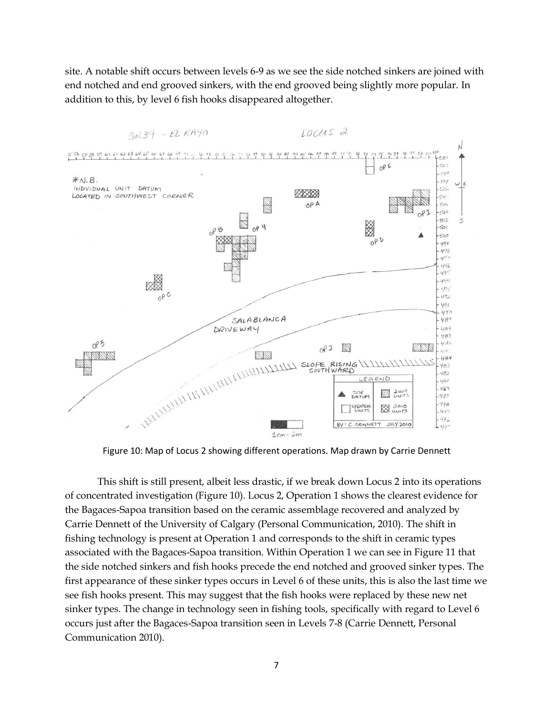site. A notable shift occurs between levels 6-9 as we see the side notched sinkers are joined with end notched and end grooved sinkers, with the end grooved being slightly more popular. In addition to this, by level 6 fish hooks disappeared altogether.



Figure 10: Map of Locus 2 showing different operations. Map drawn by Carrie Dennett

This shift is still present, albeit less drastic, if we break down Locus 2 into its operations of concentrated investigation (Figure 10). Locus 2, Operation 1 shows the clearest evidence for the Bagaces-Sapoa transition based on the ceramic assemblage recovered and analyzed by Carrie Dennett of the University of Calgary (Personal Communication, 2010). The shift in fishing technology is present at Operation 1 and corresponds to the shift in ceramic types associated with the Bagaces-Sapoa transition. Within Operation 1 we can see in Figure 11 that the side notched sinkers and fish hooks precede the end notched and grooved sinker types. The first appearance of these sinker types occurs in Level 6 of these units, this is also the last time we see fish hooks present. This may suggest that the fish hooks were replaced by these new net sinker types. The change in technology seen in fishing tools, specifically with regard to Level 6 occurs just after the Bagaces-Sapoa transition seen in Levels 7-8 (Carrie Dennett, Personal Communication 2010).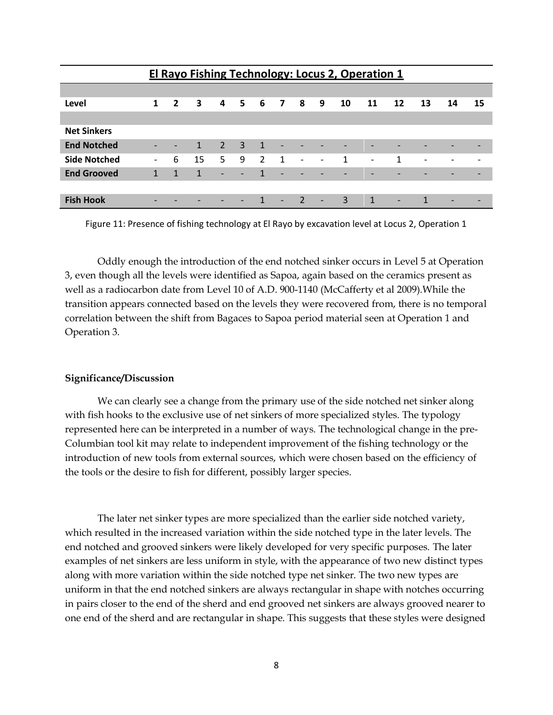|                     | El Rayo Fishing Technology: Locus 2, Operation 1 |                |                         |                          |                          |                |                |                          |                          |    |                          |    |    |    |    |
|---------------------|--------------------------------------------------|----------------|-------------------------|--------------------------|--------------------------|----------------|----------------|--------------------------|--------------------------|----|--------------------------|----|----|----|----|
|                     |                                                  |                |                         |                          |                          |                |                |                          |                          |    |                          |    |    |    |    |
| Level               | $\mathbf{1}$                                     | $\overline{2}$ | $\overline{\mathbf{3}}$ |                          | 4 5 6 7 8                |                |                |                          | 9                        | 10 | 11                       | 12 | 13 | 14 | 15 |
|                     |                                                  |                |                         |                          |                          |                |                |                          |                          |    |                          |    |    |    |    |
| <b>Net Sinkers</b>  |                                                  |                |                         |                          |                          |                |                |                          |                          |    |                          |    |    |    |    |
| <b>End Notched</b>  | $\overline{\phantom{a}}$                         |                | $\mathbf{1}$            | $2 \quad 3$              |                          | $\overline{1}$ |                |                          |                          |    |                          |    |    |    |    |
| <b>Side Notched</b> | $\overline{\phantom{0}}$                         | 6              | 15                      | 5.                       | 9                        | $\overline{2}$ | $\overline{1}$ | $\overline{\phantom{a}}$ | $\overline{\phantom{a}}$ | 1  | $\overline{\phantom{a}}$ | 1  |    |    |    |
| <b>End Grooved</b>  | $\mathbf{1}$                                     | $\mathbf{1}$   | $\mathbf{1}$            | $\overline{\phantom{0}}$ | $\overline{\phantom{0}}$ | $\mathcal{T}$  |                |                          |                          |    |                          |    |    |    | -  |
|                     |                                                  |                |                         |                          |                          |                |                |                          |                          |    |                          |    |    |    |    |
| <b>Fish Hook</b>    |                                                  |                |                         |                          |                          |                |                |                          | $\overline{\phantom{a}}$ | 3  | $\mathbf{1}$             | -  |    |    |    |

Figure 11: Presence of fishing technology at El Rayo by excavation level at Locus 2, Operation 1

Oddly enough the introduction of the end notched sinker occurs in Level 5 at Operation 3, even though all the levels were identified as Sapoa, again based on the ceramics present as well as a radiocarbon date from Level 10 of A.D. 900-1140 (McCafferty et al 2009).While the transition appears connected based on the levels they were recovered from, there is no temporal correlation between the shift from Bagaces to Sapoa period material seen at Operation 1 and Operation 3.

## **Significance/Discussion**

We can clearly see a change from the primary use of the side notched net sinker along with fish hooks to the exclusive use of net sinkers of more specialized styles. The typology represented here can be interpreted in a number of ways. The technological change in the pre-Columbian tool kit may relate to independent improvement of the fishing technology or the introduction of new tools from external sources, which were chosen based on the efficiency of the tools or the desire to fish for different, possibly larger species.

The later net sinker types are more specialized than the earlier side notched variety, which resulted in the increased variation within the side notched type in the later levels. The end notched and grooved sinkers were likely developed for very specific purposes. The later examples of net sinkers are less uniform in style, with the appearance of two new distinct types along with more variation within the side notched type net sinker. The two new types are uniform in that the end notched sinkers are always rectangular in shape with notches occurring in pairs closer to the end of the sherd and end grooved net sinkers are always grooved nearer to one end of the sherd and are rectangular in shape. This suggests that these styles were designed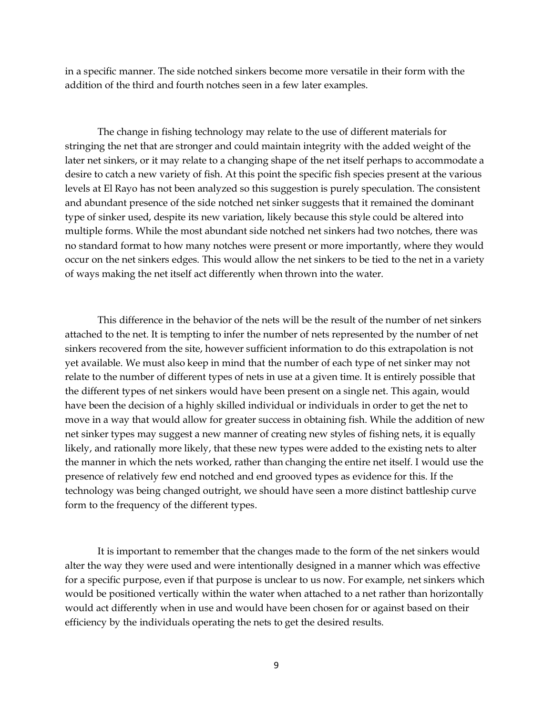in a specific manner. The side notched sinkers become more versatile in their form with the addition of the third and fourth notches seen in a few later examples.

The change in fishing technology may relate to the use of different materials for stringing the net that are stronger and could maintain integrity with the added weight of the later net sinkers, or it may relate to a changing shape of the net itself perhaps to accommodate a desire to catch a new variety of fish. At this point the specific fish species present at the various levels at El Rayo has not been analyzed so this suggestion is purely speculation. The consistent and abundant presence of the side notched net sinker suggests that it remained the dominant type of sinker used, despite its new variation, likely because this style could be altered into multiple forms. While the most abundant side notched net sinkers had two notches, there was no standard format to how many notches were present or more importantly, where they would occur on the net sinkers edges. This would allow the net sinkers to be tied to the net in a variety of ways making the net itself act differently when thrown into the water.

This difference in the behavior of the nets will be the result of the number of net sinkers attached to the net. It is tempting to infer the number of nets represented by the number of net sinkers recovered from the site, however sufficient information to do this extrapolation is not yet available. We must also keep in mind that the number of each type of net sinker may not relate to the number of different types of nets in use at a given time. It is entirely possible that the different types of net sinkers would have been present on a single net. This again, would have been the decision of a highly skilled individual or individuals in order to get the net to move in a way that would allow for greater success in obtaining fish. While the addition of new net sinker types may suggest a new manner of creating new styles of fishing nets, it is equally likely, and rationally more likely, that these new types were added to the existing nets to alter the manner in which the nets worked, rather than changing the entire net itself. I would use the presence of relatively few end notched and end grooved types as evidence for this. If the technology was being changed outright, we should have seen a more distinct battleship curve form to the frequency of the different types.

It is important to remember that the changes made to the form of the net sinkers would alter the way they were used and were intentionally designed in a manner which was effective for a specific purpose, even if that purpose is unclear to us now. For example, net sinkers which would be positioned vertically within the water when attached to a net rather than horizontally would act differently when in use and would have been chosen for or against based on their efficiency by the individuals operating the nets to get the desired results.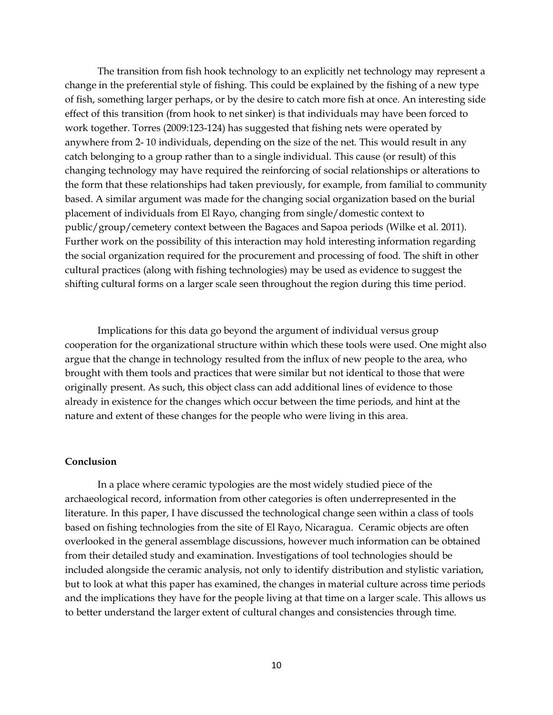The transition from fish hook technology to an explicitly net technology may represent a change in the preferential style of fishing. This could be explained by the fishing of a new type of fish, something larger perhaps, or by the desire to catch more fish at once. An interesting side effect of this transition (from hook to net sinker) is that individuals may have been forced to work together. Torres (2009:123-124) has suggested that fishing nets were operated by anywhere from 2- 10 individuals, depending on the size of the net. This would result in any catch belonging to a group rather than to a single individual. This cause (or result) of this changing technology may have required the reinforcing of social relationships or alterations to the form that these relationships had taken previously, for example, from familial to community based. A similar argument was made for the changing social organization based on the burial placement of individuals from El Rayo, changing from single/domestic context to public/group/cemetery context between the Bagaces and Sapoa periods (Wilke et al. 2011). Further work on the possibility of this interaction may hold interesting information regarding the social organization required for the procurement and processing of food. The shift in other cultural practices (along with fishing technologies) may be used as evidence to suggest the shifting cultural forms on a larger scale seen throughout the region during this time period.

Implications for this data go beyond the argument of individual versus group cooperation for the organizational structure within which these tools were used. One might also argue that the change in technology resulted from the influx of new people to the area, who brought with them tools and practices that were similar but not identical to those that were originally present. As such, this object class can add additional lines of evidence to those already in existence for the changes which occur between the time periods, and hint at the nature and extent of these changes for the people who were living in this area.

#### **Conclusion**

In a place where ceramic typologies are the most widely studied piece of the archaeological record, information from other categories is often underrepresented in the literature. In this paper, I have discussed the technological change seen within a class of tools based on fishing technologies from the site of El Rayo, Nicaragua. Ceramic objects are often overlooked in the general assemblage discussions, however much information can be obtained from their detailed study and examination. Investigations of tool technologies should be included alongside the ceramic analysis, not only to identify distribution and stylistic variation, but to look at what this paper has examined, the changes in material culture across time periods and the implications they have for the people living at that time on a larger scale. This allows us to better understand the larger extent of cultural changes and consistencies through time.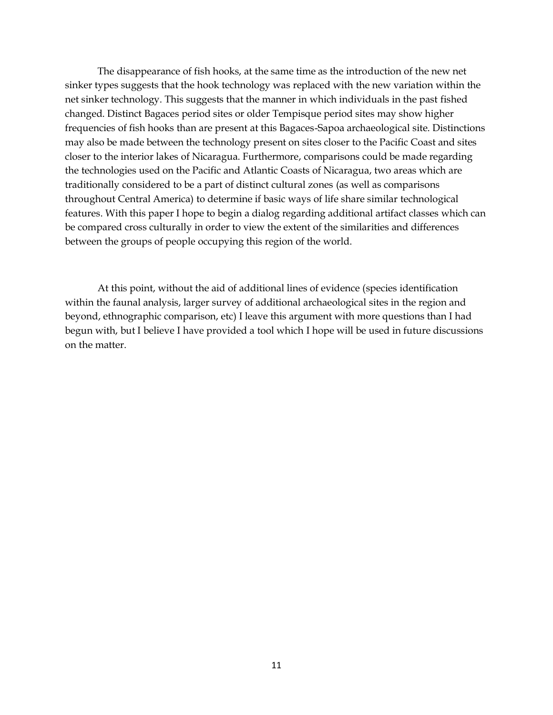The disappearance of fish hooks, at the same time as the introduction of the new net sinker types suggests that the hook technology was replaced with the new variation within the net sinker technology. This suggests that the manner in which individuals in the past fished changed. Distinct Bagaces period sites or older Tempisque period sites may show higher frequencies of fish hooks than are present at this Bagaces-Sapoa archaeological site. Distinctions may also be made between the technology present on sites closer to the Pacific Coast and sites closer to the interior lakes of Nicaragua. Furthermore, comparisons could be made regarding the technologies used on the Pacific and Atlantic Coasts of Nicaragua, two areas which are traditionally considered to be a part of distinct cultural zones (as well as comparisons throughout Central America) to determine if basic ways of life share similar technological features. With this paper I hope to begin a dialog regarding additional artifact classes which can be compared cross culturally in order to view the extent of the similarities and differences between the groups of people occupying this region of the world.

At this point, without the aid of additional lines of evidence (species identification within the faunal analysis, larger survey of additional archaeological sites in the region and beyond, ethnographic comparison, etc) I leave this argument with more questions than I had begun with, but I believe I have provided a tool which I hope will be used in future discussions on the matter.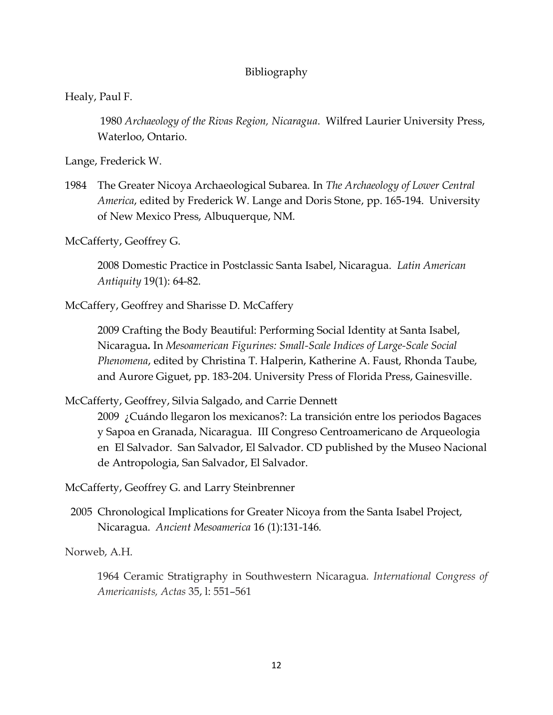# Bibliography

Healy, Paul F.

1980 *Archaeology of the Rivas Region, Nicaragua*. Wilfred Laurier University Press, Waterloo, Ontario.

Lange, Frederick W.

1984 The Greater Nicoya Archaeological Subarea. In *The Archaeology of Lower Central America*, edited by Frederick W. Lange and Doris Stone, pp. 165-194. University of New Mexico Press, Albuquerque, NM.

McCafferty, Geoffrey G.

2008 Domestic Practice in Postclassic Santa Isabel, Nicaragua. *Latin American Antiquity* 19(1): 64-82.

McCaffery, Geoffrey and Sharisse D. McCaffery

2009 [Crafting the Body Beautiful: Performing Social Identity at Santa Isabel,](http://arky.ucalgary.ca/mccafferty/sites/arky.ucalgary.ca.mccafferty/files/Body_Beautiful_2009_1.pdf)  [Nicaragua](http://arky.ucalgary.ca/mccafferty/sites/arky.ucalgary.ca.mccafferty/files/Body_Beautiful_2009_1.pdf)**.** In *Mesoamerican Figurines: Small-Scale Indices of Large-Scale Social Phenomena*, edited by Christina T. Halperin, Katherine A. Faust, Rhonda Taube, and Aurore Giguet, pp. 183-204. University Press of Florida Press, Gainesville.

McCafferty, Geoffrey, Silvia Salgado, and Carrie Dennett

2009 ¿Cuándo llegaron los mexicanos?: La transición entre los periodos Bagaces y Sapoa en Granada, Nicaragua. III Congreso Centroamericano de Arqueologia en El Salvador. San Salvador, El Salvador. CD published by the Museo Nacional de Antropologia, San Salvador, El Salvador.

McCafferty, Geoffrey G. and Larry Steinbrenner

 2005 Chronological Implications for Greater Nicoya from the Santa Isabel Project, Nicaragua. *Ancient Mesoamerica* 16 (1):131-146.

Norweb, A.H.

1964 Ceramic Stratigraphy in Southwestern Nicaragua*. International Congress of Americanists, Actas* 35, l: 551–561